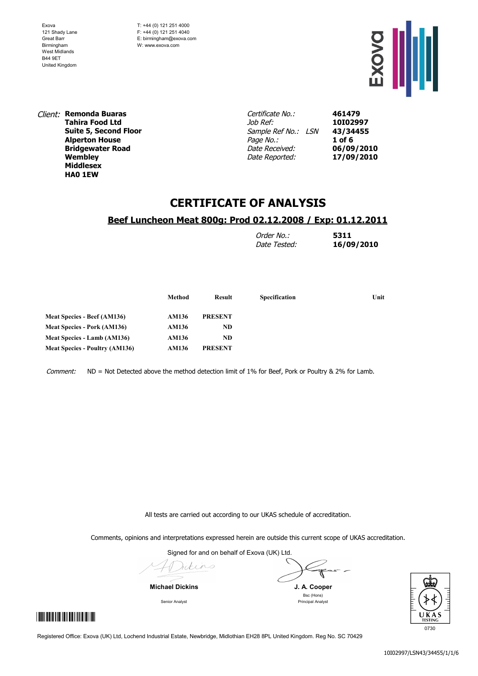T: +44 (0) 121 251 4000 F: +44 (0) 121 251 4040 E: birmingham@exova.com W: www.exova.com



Client: **Remonda Buaras Tahira Food Ltd Suite 5, Second Floor Alperton House Bridgewater Road Wembley Middlesex HA0 1EW**

Certificate No.: Job Ref: Sample Ref No.: LSN Page No.: Date Received: Date Reported:

**461479 10I02997 43/34455 1 of 6 06/09/2010 17/09/2010**

# **CERTIFICATE OF ANALYSIS**

#### **Beef Luncheon Meat 800g: Prod 02.12.2008 / Exp: 01.12.2011**

| Order No.:   | 5311       |
|--------------|------------|
| Date Tested: | 16/09/2010 |

|                                       | Method | Result         | Specification | Unit |
|---------------------------------------|--------|----------------|---------------|------|
| Meat Species - Beef (AM136)           | AM136  | <b>PRESENT</b> |               |      |
| <b>Meat Species - Pork (AM136)</b>    | AM136  | ND             |               |      |
| Meat Species - Lamb (AM136)           | AM136  | ND             |               |      |
| <b>Meat Species - Poultry (AM136)</b> | AM136  | <b>PRESENT</b> |               |      |
|                                       |        |                |               |      |

Comment: ND = Not Detected above the method detection limit of 1% for Beef, Pork or Poultry & 2% for Lamb.

All tests are carried out according to our UKAS schedule of accreditation.

Comments, opinions and interpretations expressed herein are outside this current scope of UKAS accreditation.

Signed for and on behalf of Exova (UK) Ltd.

Idins

**Michael Dickins J. A. Cooper**



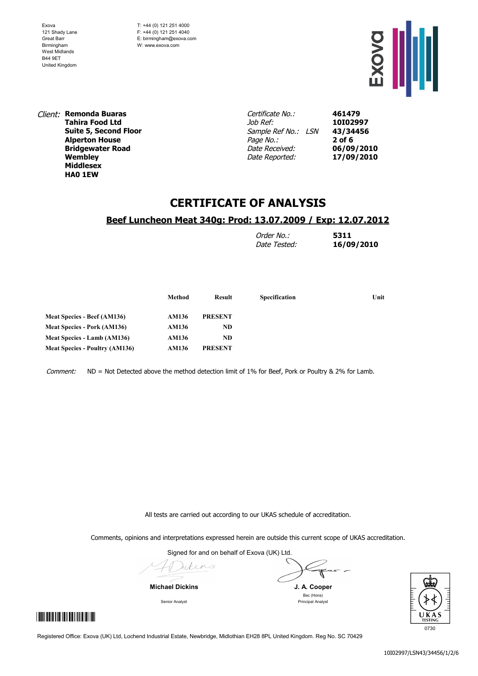T: +44 (0) 121 251 4000 F: +44 (0) 121 251 4040 E: birmingham@exova.com W: www.exova.com



Client: **Remonda Buaras Tahira Food Ltd Suite 5, Second Floor Alperton House Bridgewater Road Wembley Middlesex HA0 1EW**

Certificate No.: Job Ref: Sample Ref No.: LSN Page No.: Date Received: Date Reported:

**461479 10I02997 43/34456 2 of 6 06/09/2010 17/09/2010**

# **CERTIFICATE OF ANALYSIS**

#### **Beef Luncheon Meat 340g: Prod: 13.07.2009 / Exp: 12.07.2012**

| Order No.:   | 5311       |
|--------------|------------|
| Date Tested: | 16/09/2010 |

| Method | Result         | <b>Specification</b> | Unit |
|--------|----------------|----------------------|------|
| AM136  | <b>PRESENT</b> |                      |      |
| AM136  | ND             |                      |      |
| AM136  | ND             |                      |      |
| AM136  | <b>PRESENT</b> |                      |      |
|        |                |                      |      |

Comment: ND = Not Detected above the method detection limit of 1% for Beef, Pork or Poultry & 2% for Lamb.

All tests are carried out according to our UKAS schedule of accreditation.

Comments, opinions and interpretations expressed herein are outside this current scope of UKAS accreditation.

Signed for and on behalf of Exova (UK) Ltd.

Idins

**Michael Dickins J. A. Cooper**

Bsc (Hons) Senior Analyst **Principal Analyst** Principal Analyst

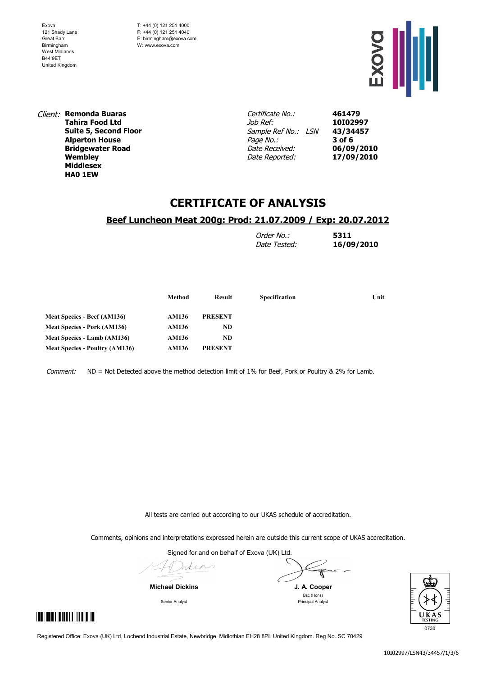T: +44 (0) 121 251 4000 F: +44 (0) 121 251 4040 E: birmingham@exova.com W: www.exova.com



Client: **Remonda Buaras Tahira Food Ltd Suite 5, Second Floor Alperton House Bridgewater Road Wembley Middlesex HA0 1EW**

Certificate No.: Job Ref: Sample Ref No.: LSN Page No.: Date Received: Date Reported:

**461479 10I02997 43/34457 3 of 6 06/09/2010 17/09/2010**

# **CERTIFICATE OF ANALYSIS**

### **Beef Luncheon Meat 200g: Prod: 21.07.2009 / Exp: 20.07.2012**

| Order No.:   | 5311       |
|--------------|------------|
| Date Tested: | 16/09/2010 |

|                                       | Method | Result         | <b>Specification</b> | Unit |
|---------------------------------------|--------|----------------|----------------------|------|
| Meat Species - Beef (AM136)           | AM136  | <b>PRESENT</b> |                      |      |
| <b>Meat Species - Pork (AM136)</b>    | AM136  | ND.            |                      |      |
| Meat Species - Lamb (AM136)           | AM136  | ND             |                      |      |
| <b>Meat Species - Poultry (AM136)</b> | AM136  | <b>PRESENT</b> |                      |      |

Comment: ND = Not Detected above the method detection limit of 1% for Beef, Pork or Poultry & 2% for Lamb.

All tests are carried out according to our UKAS schedule of accreditation.

Comments, opinions and interpretations expressed herein are outside this current scope of UKAS accreditation.

Signed for and on behalf of Exova (UK) Ltd.

Idins

**Michael Dickins J. A. Cooper**



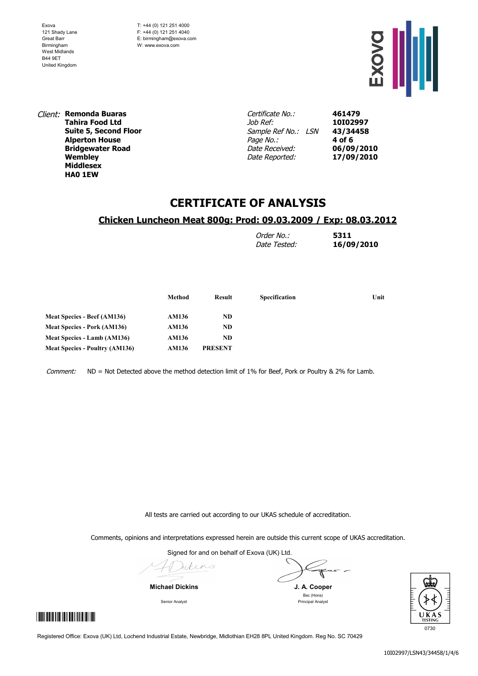T: +44 (0) 121 251 4000 F: +44 (0) 121 251 4040 E: birmingham@exova.com W: www.exova.com



Client: **Remonda Buaras Tahira Food Ltd Suite 5, Second Floor Alperton House Bridgewater Road Wembley Middlesex HA0 1EW**

Certificate No.: Job Ref: Sample Ref No.: LSN Page No.: Date Received: Date Reported:

**461479 10I02997 43/34458 4 of 6 06/09/2010 17/09/2010**

## **CERTIFICATE OF ANALYSIS**

### **Chicken Luncheon Meat 800g: Prod: 09.03.2009 / Exp: 08.03.2012**

| Order No.:   | 5311       |
|--------------|------------|
| Date Tested: | 16/09/2010 |

|                                       | Method | Result         | <b>Specification</b> | Unit |
|---------------------------------------|--------|----------------|----------------------|------|
| <b>Meat Species - Beef (AM136)</b>    | AM136  | ND.            |                      |      |
| <b>Meat Species - Pork (AM136)</b>    | AM136  | ND             |                      |      |
| Meat Species - Lamb (AM136)           | AM136  | ND             |                      |      |
| <b>Meat Species - Poultry (AM136)</b> | AM136  | <b>PRESENT</b> |                      |      |

Comment: ND = Not Detected above the method detection limit of 1% for Beef, Pork or Poultry & 2% for Lamb.

All tests are carried out according to our UKAS schedule of accreditation.

Comments, opinions and interpretations expressed herein are outside this current scope of UKAS accreditation.

Signed for and on behalf of Exova (UK) Ltd.

Idins

**Michael Dickins J. A. Cooper**

Bsc (Hons) Senior Analyst **Principal Analyst** Principal Analyst

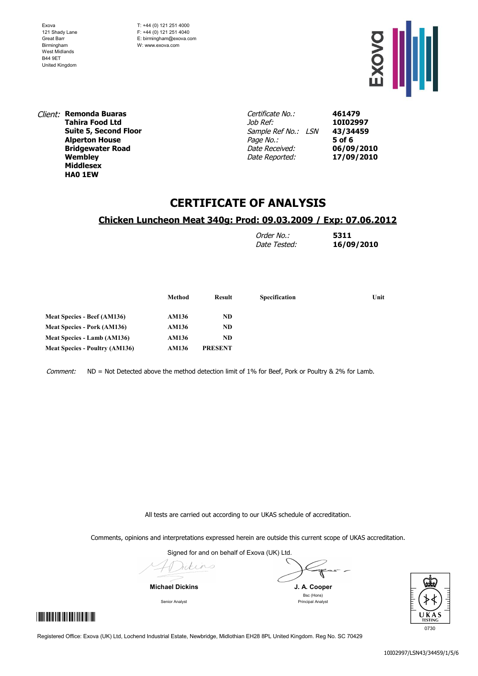T: +44 (0) 121 251 4000 F: +44 (0) 121 251 4040 E: birmingham@exova.com W: www.exova.com



Client: **Remonda Buaras Tahira Food Ltd Suite 5, Second Floor Alperton House Bridgewater Road Wembley Middlesex HA0 1EW**

Certificate No.: Job Ref: Sample Ref No.: LSN Page No.: Date Received: Date Reported:

**461479 10I02997 43/34459 5 of 6 06/09/2010 17/09/2010**

## **CERTIFICATE OF ANALYSIS**

### **Chicken Luncheon Meat 340g: Prod: 09.03.2009 / Exp: 07.06.2012**

| Order No.:   | 5311       |
|--------------|------------|
| Date Tested: | 16/09/2010 |

|                                       | Method | Result         | <b>Specification</b> | Unit |
|---------------------------------------|--------|----------------|----------------------|------|
| <b>Meat Species - Beef (AM136)</b>    | AM136  | ND.            |                      |      |
| <b>Meat Species - Pork (AM136)</b>    | AM136  | ND             |                      |      |
| Meat Species - Lamb (AM136)           | AM136  | ND             |                      |      |
| <b>Meat Species - Poultry (AM136)</b> | AM136  | <b>PRESENT</b> |                      |      |

Comment: ND = Not Detected above the method detection limit of 1% for Beef, Pork or Poultry & 2% for Lamb.

All tests are carried out according to our UKAS schedule of accreditation.

Comments, opinions and interpretations expressed herein are outside this current scope of UKAS accreditation.

Signed for and on behalf of Exova (UK) Ltd.

Idins

**Michael Dickins J. A. Cooper**

Bsc (Hons) Senior Analyst **Principal Analyst** Principal Analyst